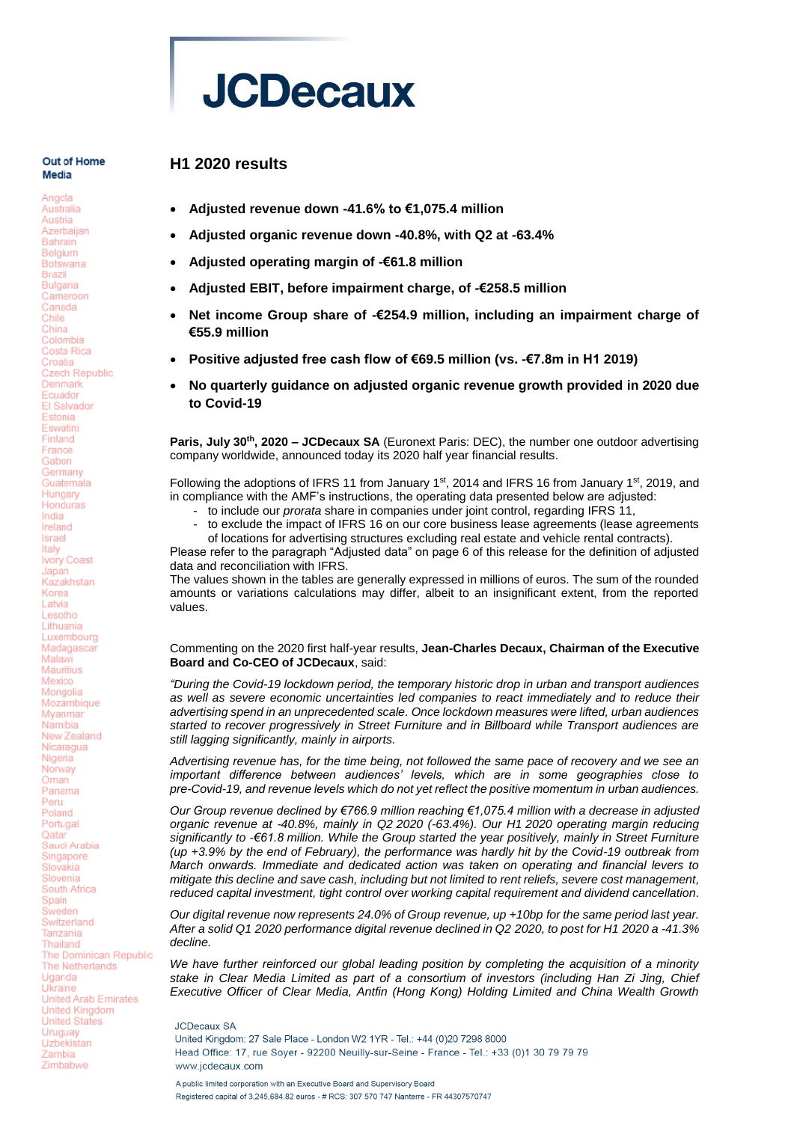

## **H1 2020 results**

Out of Home Media

Angola

#### Australia Austria Azerbaijan **Bahrain** Belgium **Botswana Brazil Bulgaria** Cameroon Canada Chile China Colombia Costa Rica Croatia **Czech Republic** Denmark Ecuador **FI Salvador** Estonia Eswatini Finland Erance Gabon Germany Guatemala Hungary Honduras India Ireland Israel Italy Ivory Coast Japan Kazakhstan Korea Latvia Lesotho Lithuania Luxembourg Madagascar Malawi Mauritius Mexico Mongolia Mozambique Mvanmar Namibia New Zealand Nicaragua Nigeria Norway Oman Panama Peru Poland Portugal Qatar Saudi Arabia Singapore Slovakia Slovenia South Africa Spain Sweden Switzerland Tanzania Thailand The Dominican Republic The Netherlands Uganda Ukraine United Arab Emirates **United Kingdom** United States Uruguay Uzbekistan Zambia Zimbabwe

- **Adjusted revenue down -41.6% to €1,075.4 million**
- **Adjusted organic revenue down -40.8%, with Q2 at -63.4%**
- **Adjusted operating margin of -€61.8 million**
- **Adjusted EBIT, before impairment charge, of -€258.5 million**
- **Net income Group share of -€254.9 million, including an impairment charge of €55.9 million**
- **Positive adjusted free cash flow of €69.5 million (vs. -€7.8m in H1 2019)**
- **No quarterly guidance on adjusted organic revenue growth provided in 2020 due to Covid-19**

**Paris, July 30th, 2020 – JCDecaux SA** (Euronext Paris: DEC), the number one outdoor advertising company worldwide, announced today its 2020 half year financial results.

Following the adoptions of IFRS 11 from January 1<sup>st</sup>, 2014 and IFRS 16 from January 1<sup>st</sup>, 2019, and in compliance with the AMF's instructions, the operating data presented below are adjusted:

- to include our *prorata* share in companies under joint control, regarding IFRS 11,
- to exclude the impact of IFRS 16 on our core business lease agreements (lease agreements of locations for advertising structures excluding real estate and vehicle rental contracts).

Please refer to the paragraph "Adjusted data" on page 6 of this release for the definition of adjusted data and reconciliation with IFRS.

The values shown in the tables are generally expressed in millions of euros. The sum of the rounded amounts or variations calculations may differ, albeit to an insignificant extent, from the reported values.

#### Commenting on the 2020 first half-year results, **Jean-Charles Decaux, Chairman of the Executive Board and Co-CEO of JCDecaux**, said:

*"During the Covid-19 lockdown period, the temporary historic drop in urban and transport audiences as well as severe economic uncertainties led companies to react immediately and to reduce their advertising spend in an unprecedented scale. Once lockdown measures were lifted, urban audiences started to recover progressively in Street Furniture and in Billboard while Transport audiences are still lagging significantly, mainly in airports.*

*Advertising revenue has, for the time being, not followed the same pace of recovery and we see an important difference between audiences' levels, which are in some geographies close to pre-Covid-19, and revenue levels which do not yet reflect the positive momentum in urban audiences.*

*Our Group revenue declined by €766.9 million reaching €1,075.4 million with a decrease in adjusted organic revenue at -40.8%, mainly in Q2 2020 (-63.4%). Our H1 2020 operating margin reducing significantly to -€61.8 million. While the Group started the year positively, mainly in Street Furniture (up +3.9% by the end of February), the performance was hardly hit by the Covid-19 outbreak from March onwards. Immediate and dedicated action was taken on operating and financial levers to mitigate this decline and save cash, including but not limited to rent reliefs, severe cost management, reduced capital investment, tight control over working capital requirement and dividend cancellation.*

*Our digital revenue now represents 24.0% of Group revenue, up +10bp for the same period last year. After a solid Q1 2020 performance digital revenue declined in Q2 2020, to post for H1 2020 a -41.3% decline.*

*We have further reinforced our global leading position by completing the acquisition of a minority stake in Clear Media Limited as part of a consortium of investors (including Han Zi Jing, Chief Executive Officer of Clear Media, Antfin (Hong Kong) Holding Limited and China Wealth Growth* 

**JCDecaux SA** United Kingdom: 27 Sale Place - London W2 1YR - Tel.: +44 (0)20 7298 8000 Head Office: 17, rue Soyer - 92200 Neuilly-sur-Seine - France - Tel.: +33 (0)1 30 79 79 79 www.icdecaux.com A public limited corporation with an Executive Board and Supervisory Board

Registered capital of 3.245.684.82 euros - # RCS: 307 570 747 Nanterre - FR 44307570747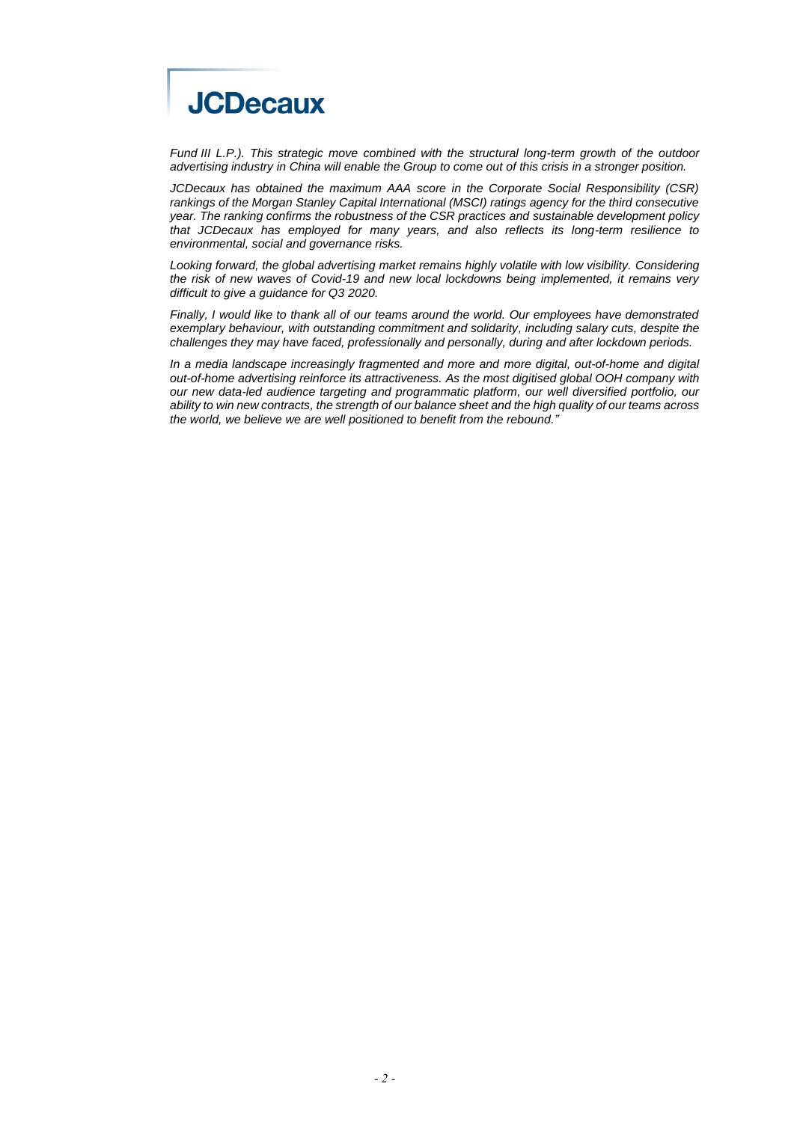

*Fund III L.P.). This strategic move combined with the structural long-term growth of the outdoor advertising industry in China will enable the Group to come out of this crisis in a stronger position.*

*JCDecaux has obtained the maximum AAA score in the Corporate Social Responsibility (CSR) rankings of the Morgan Stanley Capital International (MSCI) ratings agency for the third consecutive year. The ranking confirms the robustness of the CSR practices and sustainable development policy that JCDecaux has employed for many years, and also reflects its long-term resilience to environmental, social and governance risks.*

*Looking forward, the global advertising market remains highly volatile with low visibility. Considering the risk of new waves of Covid-19 and new local lockdowns being implemented, it remains very difficult to give a guidance for Q3 2020.*

*Finally, I would like to thank all of our teams around the world. Our employees have demonstrated exemplary behaviour, with outstanding commitment and solidarity, including salary cuts, despite the challenges they may have faced, professionally and personally, during and after lockdown periods.*

*In a media landscape increasingly fragmented and more and more digital, out-of-home and digital out-of-home advertising reinforce its attractiveness. As the most digitised global OOH company with our new data-led audience targeting and programmatic platform, our well diversified portfolio, our ability to win new contracts, the strength of our balance sheet and the high quality of our teams across the world, we believe we are well positioned to benefit from the rebound."*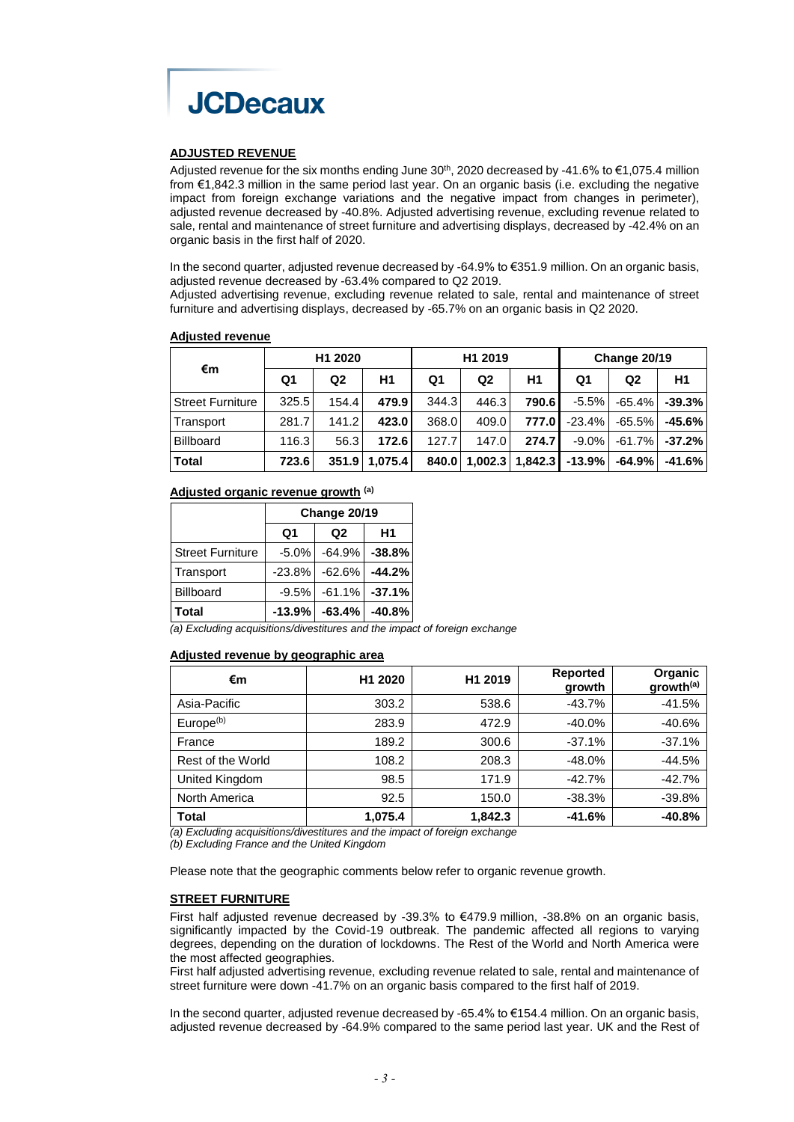

## **ADJUSTED REVENUE**

Adjusted revenue for the six months ending June  $30<sup>th</sup>$ , 2020 decreased by -41.6% to  $\epsilon$ 1,075.4 million from €1,842.3 million in the same period last year. On an organic basis (i.e. excluding the negative impact from foreign exchange variations and the negative impact from changes in perimeter), adjusted revenue decreased by -40.8%. Adjusted advertising revenue, excluding revenue related to sale, rental and maintenance of street furniture and advertising displays, decreased by -42.4% on an organic basis in the first half of 2020.

In the second quarter, adjusted revenue decreased by -64.9% to €351.9 million. On an organic basis, adjusted revenue decreased by -63.4% compared to Q2 2019.

Adjusted advertising revenue, excluding revenue related to sale, rental and maintenance of street furniture and advertising displays, decreased by -65.7% on an organic basis in Q2 2020.

#### **Adjusted revenue**

| €m                      | H <sub>1</sub> 2020 |                |         | H <sub>1</sub> 2019 |                |                     | Change 20/19 |                |          |
|-------------------------|---------------------|----------------|---------|---------------------|----------------|---------------------|--------------|----------------|----------|
|                         | Q1                  | Q <sub>2</sub> | Η1      | Q1                  | Q <sub>2</sub> | Η1                  | Q1           | Q <sub>2</sub> | Η1       |
| <b>Street Furniture</b> | 325.5               | 154.4          | 479.9   | 344.3               | 446.3          | 790.6               | $-5.5\%$     | $-65.4\%$      | $-39.3%$ |
| Transport               | 281.7               | 141.2          | 423.0   | 368.0               | 409.0          | 777.0               | $-23.4%$     | $-65.5\%$      | $-45.6%$ |
| <b>Billboard</b>        | 116.3               | 56.3           | 172.6   | 127.7               | 147.0          | 274.7               | $-9.0\%$     | $-61.7\%$      | $-37.2%$ |
| <b>Total</b>            | 723.6               | 351.9          | 1.075.4 | 840.0               |                | $1,002.3$   1,842.3 | $-13.9%$     | -64.9% l       | $-41.6%$ |

## **Adjusted organic revenue growth (a)**

|                         | Change 20/19   |                |          |  |  |  |  |
|-------------------------|----------------|----------------|----------|--|--|--|--|
|                         | Q <sub>1</sub> | Q <sub>2</sub> | H1       |  |  |  |  |
| <b>Street Furniture</b> | $-5.0%$        | $-64.9\%$      | $-38.8%$ |  |  |  |  |
| Transport               | $-23.8%$       | $-62.6%$       | $-44.2%$ |  |  |  |  |
| Billboard               | $-9.5%$        | $-61.1%$       | $-37.1%$ |  |  |  |  |
| Total                   | $-13.9%$       | $-63.4%$       | $-40.8%$ |  |  |  |  |

*(a) Excluding acquisitions/divestitures and the impact of foreign exchange*

#### **Adjusted revenue by geographic area**

| €m                    | H <sub>1</sub> 2020 | H <sub>1</sub> 2019 | <b>Reported</b><br>growth | <b>Organic</b><br>growth <sup>(a)</sup> |
|-----------------------|---------------------|---------------------|---------------------------|-----------------------------------------|
| Asia-Pacific          | 303.2               | 538.6               | $-43.7%$                  | $-41.5%$                                |
| Europe <sup>(b)</sup> | 283.9               | 472.9               | $-40.0\%$                 | $-40.6%$                                |
| France                | 189.2               | 300.6               | $-37.1%$                  | $-37.1%$                                |
| Rest of the World     | 108.2               | 208.3               | $-48.0%$                  | $-44.5%$                                |
| United Kingdom        | 98.5                | 171.9               | $-42.7%$                  | $-42.7%$                                |
| North America         | 92.5                | 150.0               | $-38.3%$                  | $-39.8%$                                |
| <b>Total</b>          | 1,075.4             | 1,842.3             | $-41.6%$                  | $-40.8%$                                |

*(a) Excluding acquisitions/divestitures and the impact of foreign exchange*

*(b) Excluding France and the United Kingdom*

Please note that the geographic comments below refer to organic revenue growth.

## **STREET FURNITURE**

First half adjusted revenue decreased by -39.3% to €479.9 million, -38.8% on an organic basis, significantly impacted by the Covid-19 outbreak. The pandemic affected all regions to varying degrees, depending on the duration of lockdowns. The Rest of the World and North America were the most affected geographies.

First half adjusted advertising revenue, excluding revenue related to sale, rental and maintenance of street furniture were down -41.7% on an organic basis compared to the first half of 2019.

In the second quarter, adjusted revenue decreased by -65.4% to €154.4 million. On an organic basis, adjusted revenue decreased by -64.9% compared to the same period last year. UK and the Rest of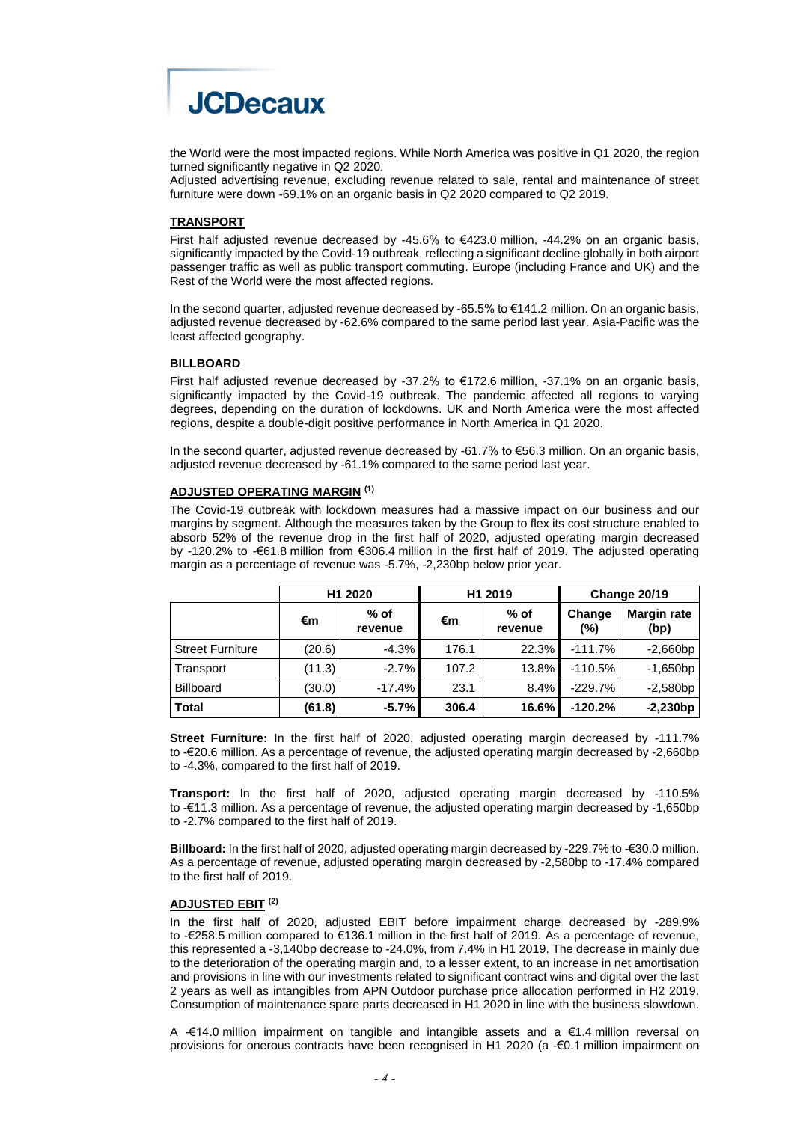

the World were the most impacted regions. While North America was positive in Q1 2020, the region turned significantly negative in Q2 2020.

Adjusted advertising revenue, excluding revenue related to sale, rental and maintenance of street furniture were down -69.1% on an organic basis in Q2 2020 compared to Q2 2019.

#### **TRANSPORT**

First half adjusted revenue decreased by -45.6% to €423.0 million, -44.2% on an organic basis, significantly impacted by the Covid-19 outbreak, reflecting a significant decline globally in both airport passenger traffic as well as public transport commuting. Europe (including France and UK) and the Rest of the World were the most affected regions.

In the second quarter, adjusted revenue decreased by -65.5% to €141.2 million. On an organic basis, adjusted revenue decreased by -62.6% compared to the same period last year. Asia-Pacific was the least affected geography.

#### **BILLBOARD**

First half adjusted revenue decreased by -37.2% to  $€172.6$  million, -37.1% on an organic basis, significantly impacted by the Covid-19 outbreak. The pandemic affected all regions to varying degrees, depending on the duration of lockdowns. UK and North America were the most affected regions, despite a double-digit positive performance in North America in Q1 2020.

In the second quarter, adjusted revenue decreased by -61.7% to €56.3 million. On an organic basis, adjusted revenue decreased by -61.1% compared to the same period last year.

## **ADJUSTED OPERATING MARGIN (1)**

The Covid-19 outbreak with lockdown measures had a massive impact on our business and our margins by segment. Although the measures taken by the Group to flex its cost structure enabled to absorb 52% of the revenue drop in the first half of 2020, adjusted operating margin decreased by -120.2% to -€61.8 million from €306.4 million in the first half of 2019. The adjusted operating margin as a percentage of revenue was -5.7%, -2,230bp below prior year.

|                         | H <sub>1</sub> 2020 |                   |       | H <sub>1</sub> 2019 | Change 20/19  |                            |  |
|-------------------------|---------------------|-------------------|-------|---------------------|---------------|----------------------------|--|
|                         | €m                  | $%$ of<br>revenue | €m    | $%$ of<br>revenue   | Change<br>(%) | <b>Margin rate</b><br>(bp) |  |
| <b>Street Furniture</b> | (20.6)              | $-4.3%$           | 176.1 | 22.3%               | $-111.7%$     | $-2,660bp$                 |  |
| Transport               | (11.3)              | $-2.7%$           | 107.2 | 13.8%               | $-110.5%$     | $-1,650bp$                 |  |
| <b>Billboard</b>        | (30.0)              | $-17.4%$          | 23.1  | 8.4%                | $-229.7%$     | $-2,580bp$                 |  |
| <b>Total</b>            | (61.8)              | $-5.7\%$          | 306.4 | 16.6%               | $-120.2%$     | $-2,230bp$                 |  |

**Street Furniture:** In the first half of 2020, adjusted operating margin decreased by -111.7% to -€20.6 million. As a percentage of revenue, the adjusted operating margin decreased by -2,660bp to -4.3%, compared to the first half of 2019.

**Transport:** In the first half of 2020, adjusted operating margin decreased by -110.5% to -€11.3 million. As a percentage of revenue, the adjusted operating margin decreased by -1,650bp to -2.7% compared to the first half of 2019.

**Billboard:** In the first half of 2020, adjusted operating margin decreased by -229.7% to €30.0 million. As a percentage of revenue, adjusted operating margin decreased by -2,580bp to -17.4% compared to the first half of 2019.

#### **ADJUSTED EBIT (2)**

In the first half of 2020, adjusted EBIT before impairment charge decreased by -289.9% to -€258.5 million compared to €136.1 million in the first half of 2019. As a percentage of revenue, this represented a -3,140bp decrease to -24.0%, from 7.4% in H1 2019. The decrease in mainly due to the deterioration of the operating margin and, to a lesser extent, to an increase in net amortisation and provisions in line with our investments related to significant contract wins and digital over the last 2 years as well as intangibles from APN Outdoor purchase price allocation performed in H2 2019. Consumption of maintenance spare parts decreased in H1 2020 in line with the business slowdown.

A  $-€14.0$  million impairment on tangible and intangible assets and a €1.4 million reversal on provisions for onerous contracts have been recognised in H1 2020 (a -€0.1 million impairment on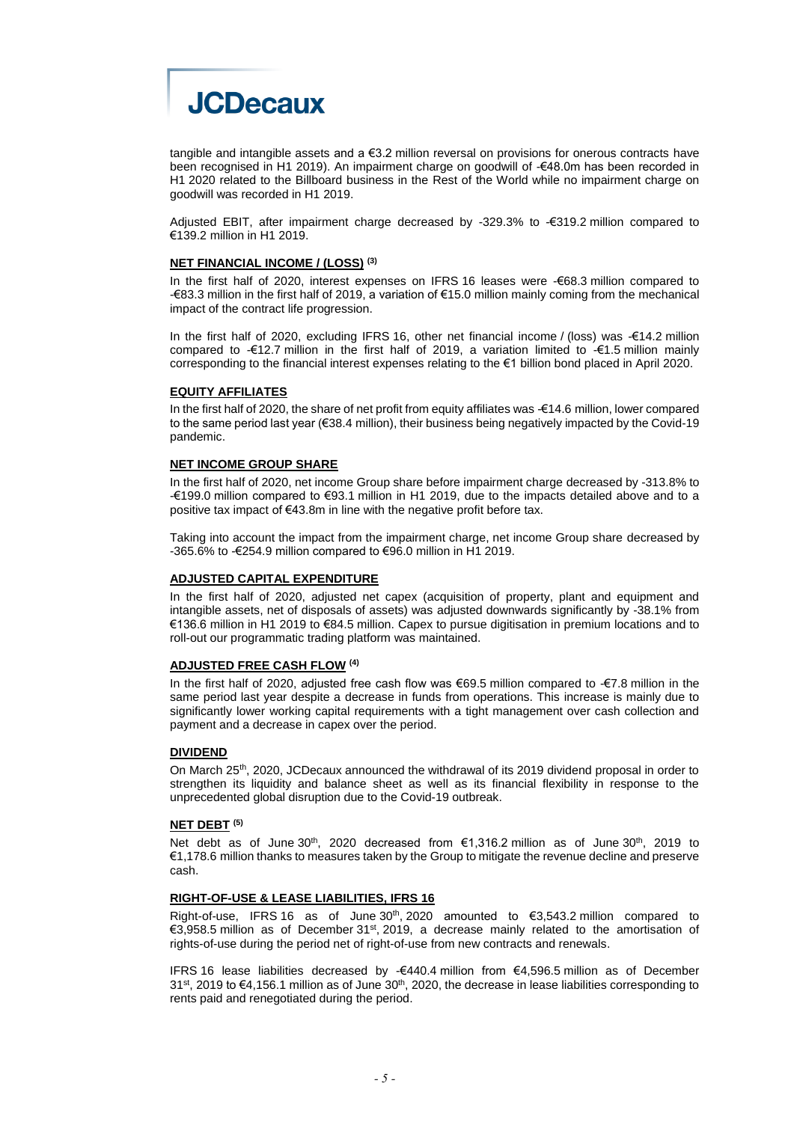

tangible and intangible assets and a €3.2 million reversal on provisions for onerous contracts have been recognised in H1 2019). An impairment charge on goodwill of -€48.0m has been recorded in H1 2020 related to the Billboard business in the Rest of the World while no impairment charge on goodwill was recorded in H1 2019.

Adjusted EBIT, after impairment charge decreased by -329.3% to -€319.2 million compared to €139.2 million in H1 2019.

#### **NET FINANCIAL INCOME / (LOSS) (3)**

In the first half of 2020, interest expenses on IFRS 16 leases were -€68.3 million compared to -€83.3 million in the first half of 2019, a variation of €15.0 million mainly coming from the mechanical impact of the contract life progression.

In the first half of 2020, excluding IFRS 16, other net financial income / (loss) was -€14.2 million compared to -€12.7 million in the first half of 2019, a variation limited to -€1.5 million mainly corresponding to the financial interest expenses relating to the €1 billion bond placed in April 2020.

#### **EQUITY AFFILIATES**

In the first half of 2020, the share of net profit from equity affiliates was -€14.6 million, lower compared to the same period last year (€38.4 million), their business being negatively impacted by the Covid-19 pandemic.

#### **NET INCOME GROUP SHARE**

In the first half of 2020, net income Group share before impairment charge decreased by -313.8% to -€199.0 million compared to €93.1 million in H1 2019, due to the impacts detailed above and to a positive tax impact of €43.8m in line with the negative profit before tax.

Taking into account the impact from the impairment charge, net income Group share decreased by -365.6% to -€254.9 million compared to €96.0 million in H1 2019.

## **ADJUSTED CAPITAL EXPENDITURE**

In the first half of 2020, adjusted net capex (acquisition of property, plant and equipment and intangible assets, net of disposals of assets) was adjusted downwards significantly by -38.1% from €136.6 million in H1 2019 to €84.5 million. Capex to pursue digitisation in premium locations and to roll-out our programmatic trading platform was maintained.

#### **ADJUSTED FREE CASH FLOW (4)**

In the first half of 2020, adjusted free cash flow was €69.5 million compared to -€7.8 million in the same period last year despite a decrease in funds from operations. This increase is mainly due to significantly lower working capital requirements with a tight management over cash collection and payment and a decrease in capex over the period.

#### **DIVIDEND**

On March 25<sup>th</sup>, 2020, JCDecaux announced the withdrawal of its 2019 dividend proposal in order to strengthen its liquidity and balance sheet as well as its financial flexibility in response to the unprecedented global disruption due to the Covid-19 outbreak.

#### **NET DEBT (5)**

Net debt as of June 30<sup>th</sup>, 2020 decreased from €1,316.2 million as of June 30<sup>th</sup>, 2019 to €1,178.6 million thanks to measures taken by the Group to mitigate the revenue decline and preserve cash.

#### **RIGHT-OF-USE & LEASE LIABILITIES, IFRS 16**

Right-of-use, IFRS 16 as of June  $30<sup>th</sup>$ , 2020 amounted to  $\epsilon$ 3,543.2 million compared to €3,958.5 million as of December 31<sup>st</sup>, 2019, a decrease mainly related to the amortisation of rights-of-use during the period net of right-of-use from new contracts and renewals.

IFRS 16 lease liabilities decreased by -€440.4 million from €4,596.5 million as of December  $31<sup>st</sup>$ , 2019 to  $\epsilon$ 4,156.1 million as of June  $30<sup>th</sup>$ , 2020, the decrease in lease liabilities corresponding to rents paid and renegotiated during the period.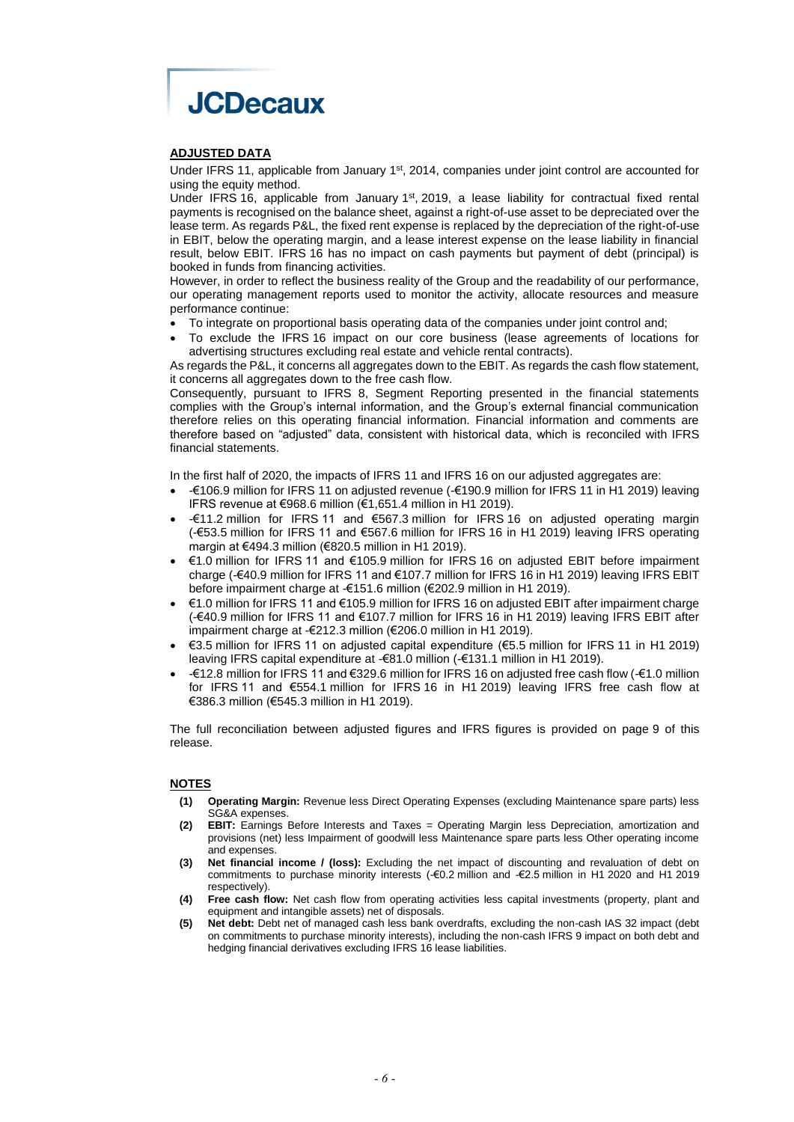

#### **ADJUSTED DATA**

Under IFRS 11, applicable from January 1<sup>st</sup>, 2014, companies under joint control are accounted for using the equity method.

Under IFRS 16, applicable from January  $1<sup>st</sup>$ , 2019, a lease liability for contractual fixed rental payments is recognised on the balance sheet, against a right-of-use asset to be depreciated over the lease term. As regards P&L, the fixed rent expense is replaced by the depreciation of the right-of-use in EBIT, below the operating margin, and a lease interest expense on the lease liability in financial result, below EBIT. IFRS 16 has no impact on cash payments but payment of debt (principal) is booked in funds from financing activities.

However, in order to reflect the business reality of the Group and the readability of our performance, our operating management reports used to monitor the activity, allocate resources and measure performance continue:

- To integrate on proportional basis operating data of the companies under joint control and;
- To exclude the IFRS 16 impact on our core business (lease agreements of locations for advertising structures excluding real estate and vehicle rental contracts).

As regards the P&L, it concerns all aggregates down to the EBIT. As regards the cash flow statement, it concerns all aggregates down to the free cash flow.

Consequently, pursuant to IFRS 8, Segment Reporting presented in the financial statements complies with the Group's internal information, and the Group's external financial communication therefore relies on this operating financial information. Financial information and comments are therefore based on "adjusted" data, consistent with historical data, which is reconciled with IFRS financial statements.

In the first half of 2020, the impacts of IFRS 11 and IFRS 16 on our adjusted aggregates are:

- -€106.9 million for IFRS 11 on adjusted revenue (-€190.9 million for IFRS 11 in H1 2019) leaving IFRS revenue at €968.6 million (€1,651.4 million in H1 2019).
- -€11.2 million for IFRS 11 and €567.3 million for IFRS 16 on adjusted operating margin (-€53.5 million for IFRS 11 and €567.6 million for IFRS 16 in H1 2019) leaving IFRS operating margin at €494.3 million (€820.5 million in H1 2019).
- €1.0 million for IFRS 11 and €105.9 million for IFRS 16 on adjusted EBIT before impairment charge (-€40.9 million for IFRS 11 and €107.7 million for IFRS 16 in H1 2019) leaving IFRS EBIT before impairment charge at -€151.6 million (€202.9 million in H1 2019).
- €1.0 million for IFRS 11 and €105.9 million for IFRS 16 on adjusted EBIT after impairment charge (-€40.9 million for IFRS 11 and €107.7 million for IFRS 16 in H1 2019) leaving IFRS EBIT after impairment charge at -€212.3 million (€206.0 million in H1 2019).
- €3.5 million for IFRS 11 on adjusted capital expenditure (€5.5 million for IFRS 11 in H1 2019) leaving IFRS capital expenditure at -€81.0 million (-€131.1 million in H1 2019).
- -€12.8 million for IFRS 11 and €329.6 million for IFRS 16 on adjusted free cash flow (-€1.0 million for IFRS 11 and €554.1 million for IFRS 16 in H1 2019) leaving IFRS free cash flow at €386.3 million (€545.3 million in H1 2019).

The full reconciliation between adjusted figures and IFRS figures is provided on page 9 of this release.

#### **NOTES**

- **(1) Operating Margin:** Revenue less Direct Operating Expenses (excluding Maintenance spare parts) less SG&A expenses.
- **(2) EBIT:** Earnings Before Interests and Taxes = Operating Margin less Depreciation, amortization and provisions (net) less Impairment of goodwill less Maintenance spare parts less Other operating income and expenses.
- **(3) Net financial income / (loss):** Excluding the net impact of discounting and revaluation of debt on commitments to purchase minority interests (-€0.2 million and -€2.5 million in H1 2020 and H1 2019 respectively).
- **(4) Free cash flow:** Net cash flow from operating activities less capital investments (property, plant and equipment and intangible assets) net of disposals.
- **(5) Net debt:** Debt net of managed cash less bank overdrafts, excluding the non-cash IAS 32 impact (debt on commitments to purchase minority interests), including the non-cash IFRS 9 impact on both debt and hedging financial derivatives excluding IFRS 16 lease liabilities.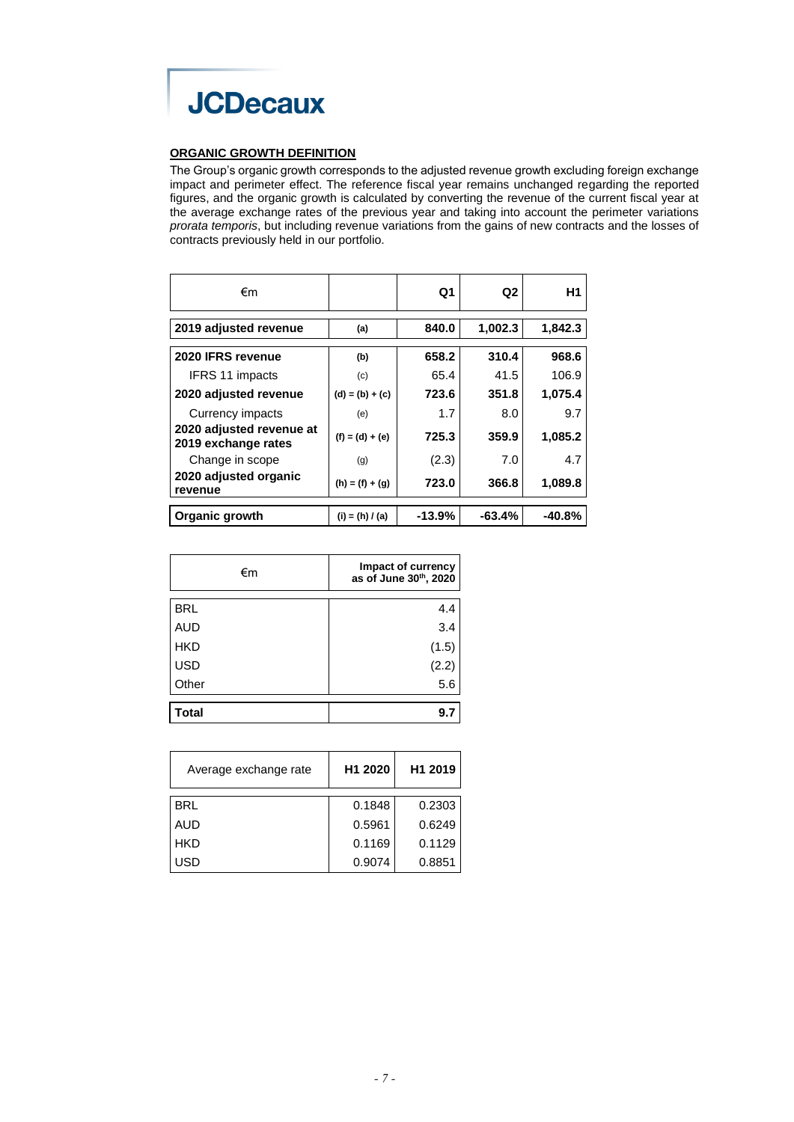

## **ORGANIC GROWTH DEFINITION**

The Group's organic growth corresponds to the adjusted revenue growth excluding foreign exchange impact and perimeter effect. The reference fiscal year remains unchanged regarding the reported figures, and the organic growth is calculated by converting the revenue of the current fiscal year at the average exchange rates of the previous year and taking into account the perimeter variations *prorata temporis*, but including revenue variations from the gains of new contracts and the losses of contracts previously held in our portfolio.

| €m                                              |                   | Q1       | Q2       | Н1       |
|-------------------------------------------------|-------------------|----------|----------|----------|
| 2019 adjusted revenue                           | (a)               | 840.0    | 1,002.3  | 1,842.3  |
| 2020 IFRS revenue                               | (b)               | 658.2    | 310.4    | 968.6    |
| <b>IFRS 11 impacts</b>                          | (c)               | 65.4     | 41.5     | 106.9    |
| 2020 adjusted revenue                           | $(d) = (b) + (c)$ | 723.6    | 351.8    | 1,075.4  |
| Currency impacts                                | (e)               | 1.7      | 8.0      | 9.7      |
| 2020 adjusted revenue at<br>2019 exchange rates | $(f) = (d) + (e)$ | 725.3    | 359.9    | 1,085.2  |
| Change in scope                                 | (g)               | (2.3)    | 7.0      | 4.7      |
| 2020 adjusted organic<br>revenue                | $(h) = (f) + (g)$ | 723.0    | 366.8    | 1,089.8  |
| <b>Organic growth</b>                           | $(i) = (h) / (a)$ | $-13.9%$ | $-63.4%$ | $-40.8%$ |

| €m         | Impact of currency<br>as of June 30th, 2020 |
|------------|---------------------------------------------|
| <b>BRL</b> | 4.4                                         |
| <b>AUD</b> | 3.4                                         |
| <b>HKD</b> | (1.5)                                       |
| <b>USD</b> |                                             |
| Other      | $(2.2)$<br>5.6                              |
| Гоtal      | 9                                           |

| Average exchange rate | H <sub>1</sub> 2020 | H <sub>1</sub> 2019 |
|-----------------------|---------------------|---------------------|
| <b>BRL</b>            | 0.1848              | 0.2303              |
| AUD                   | 0.5961              | 0.6249              |
| <b>HKD</b>            | 0.1169              | 0.1129              |
| USD                   | 0.9074              | 0.8851              |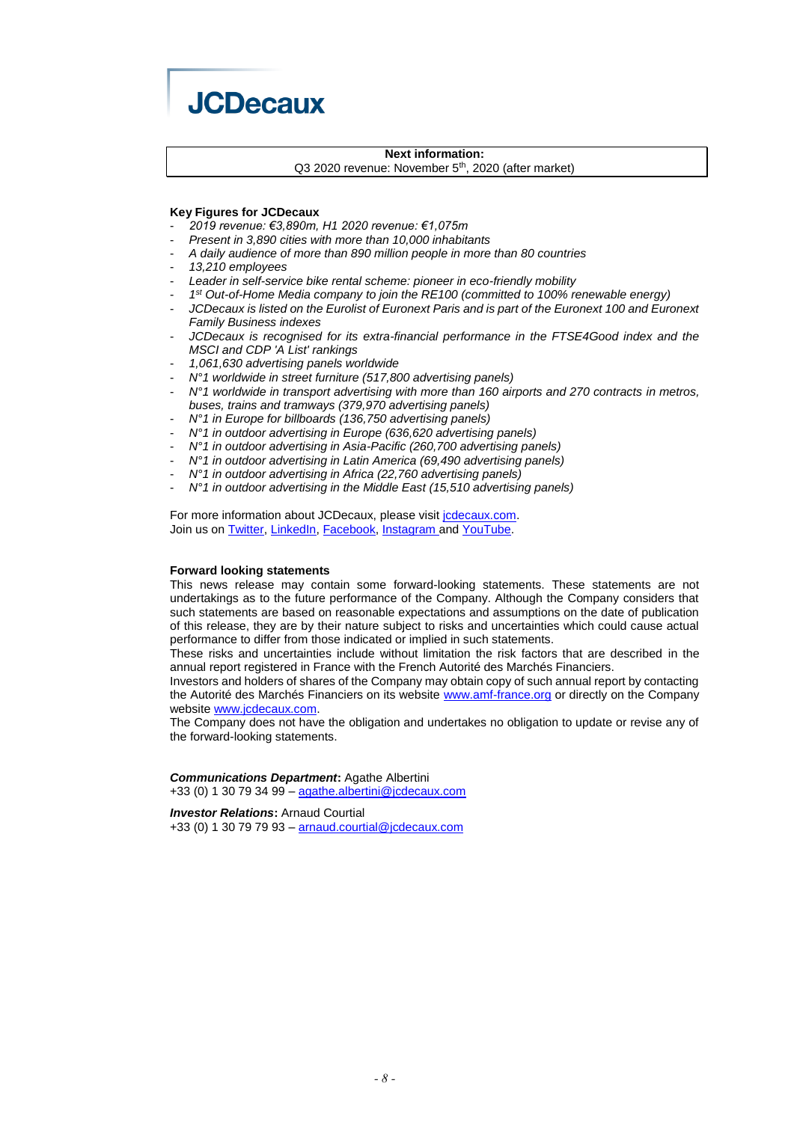

## **Next information:**

Q3 2020 revenue: November 5<sup>th</sup>, 2020 (after market)

#### **Key Figures for JCDecaux**

- *2019 revenue: €3,890m, H1 2020 revenue: €1,075m*
- *Present in 3,890 cities with more than 10,000 inhabitants*
- *A daily audience of more than 890 million people in more than 80 countries*
- *13,210 employees*
- Leader in self-service bike rental scheme: pioneer in eco-friendly mobility
- *1 st Out-of-Home Media company to join the RE100 (committed to 100% renewable energy)*
- JCDecaux is listed on the Eurolist of Euronext Paris and is part of the Euronext 100 and Euronext *Family Business indexes*
- *JCDecaux is recognised for its extra-financial performance in the FTSE4Good index and the MSCI and CDP 'A List' rankings*
- *1,061,630 advertising panels worldwide*
- *N°1 worldwide in street furniture (517,800 advertising panels)*
- *N°1 worldwide in transport advertising with more than 160 airports and 270 contracts in metros, buses, trains and tramways (379,970 advertising panels)*
- *N°1 in Europe for billboards (136,750 advertising panels)*
- *N°1 in outdoor advertising in Europe (636,620 advertising panels)*
- *N°1 in outdoor advertising in Asia-Pacific (260,700 advertising panels)*
- *N°1 in outdoor advertising in Latin America (69,490 advertising panels)*
- *N°1 in outdoor advertising in Africa (22,760 advertising panels)*
- *N°1 in outdoor advertising in the Middle East (15,510 advertising panels)*

For more information about JCDecaux, please visit jcdecaux.com. Join us on Twitter, LinkedIn, Facebook, Instagram and YouTube.

#### **Forward looking statements**

This news release may contain some forward-looking statements. These statements are not undertakings as to the future performance of the Company. Although the Company considers that such statements are based on reasonable expectations and assumptions on the date of publication of this release, they are by their nature subject to risks and uncertainties which could cause actual performance to differ from those indicated or implied in such statements.

These risks and uncertainties include without limitation the risk factors that are described in the annual report registered in France with the French Autorité des Marchés Financiers.

Investors and holders of shares of the Company may obtain copy of such annual report by contacting the Autorité des Marchés Financiers on its website [www.amf-france.org](http://www.amf-france.org/) or directly on the Company website [www.jcdecaux.com.](http://www.jcdecaux.com/)

The Company does not have the obligation and undertakes no obligation to update or revise any of the forward-looking statements.

# *Communications Department***:** Agathe Albertini

+33 (0) 1 30 79 34 99 – [agathe.albertini@jcdecaux.com](mailto:agathe.albertini@jcdecaux.com)

*Investor Relations***:** Arnaud Courtial +33 (0) 1 30 79 79 93 – [arnaud.courtial@jcdecaux.com](mailto:arnaud.courtial@jcdecaux.com)